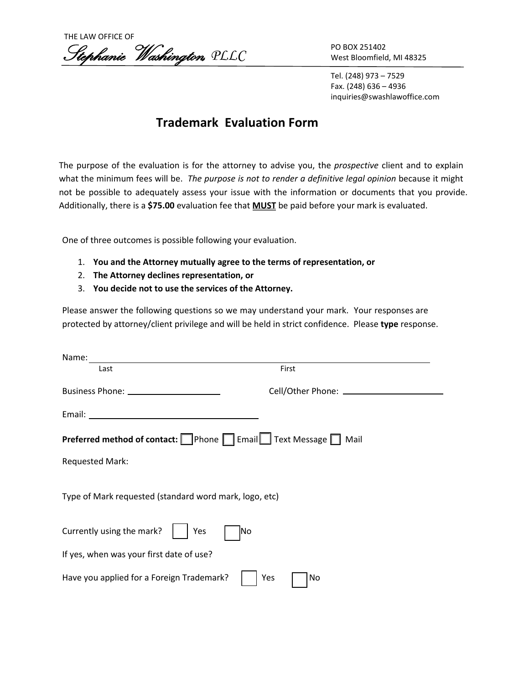

PO BOX 251402 West Bloomfield, MI 48325

Tel. (248) 973 – 7529 Fax. (248) 636 – 4936 inquiries@swashlawoffice.com

## **Trademark Evaluation Form**

The purpose of the evaluation is for the attorney to advise you, the *prospective* client and to explain what the minimum fees will be. *The purpose is not to render a definitive legal opinion* because it might not be possible to adequately assess your issue with the information or documents that you provide. Additionally, there is a **\$75.00** evaluation fee that **MUST** be paid before your mark is evaluated.

One of three outcomes is possible following your evaluation.

- 1. **You and the Attorney mutually agree to the terms of representation, or**
- 2. **The Attorney declines representation, or**
- 3. **You decide not to use the services of the Attorney.**

Please answer the following questions so we may understand your mark. Your responses are protected by attorney/client privilege and will be held in strict confidence. Please **type** response.

| Name:                                                       |           |  |
|-------------------------------------------------------------|-----------|--|
| Last                                                        | First     |  |
|                                                             |           |  |
|                                                             |           |  |
| Preferred method of contact: Phone Fanail Text Message Mail |           |  |
| <b>Requested Mark:</b>                                      |           |  |
| Type of Mark requested (standard word mark, logo, etc)      |           |  |
| Currently using the mark?<br>Yes                            | lNo       |  |
| If yes, when was your first date of use?                    |           |  |
| Have you applied for a Foreign Trademark?                   | No<br>Yes |  |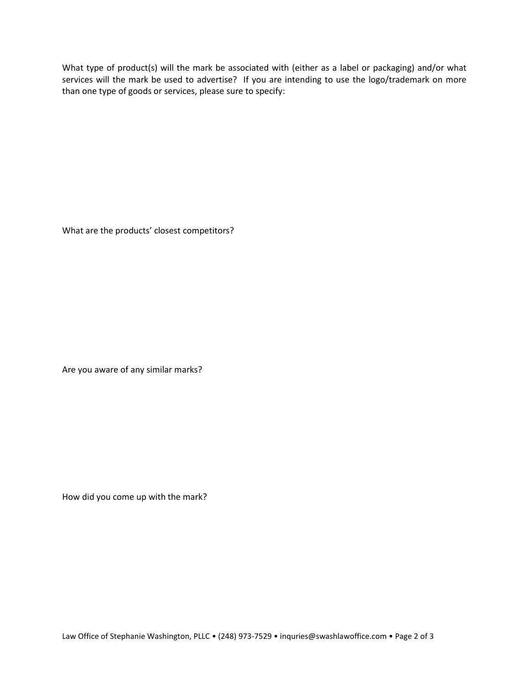What type of product(s) will the mark be associated with (either as a label or packaging) and/or what services will the mark be used to advertise? If you are intending to use the logo/trademark on more than one type of goods or services, please sure to specify:

What are the products' closest competitors?

Are you aware of any similar marks?

How did you come up with the mark?